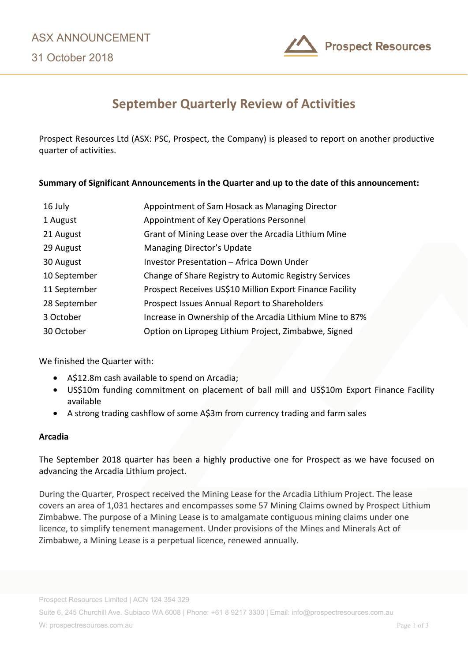31 October 2018



# **September Quarterly Review of Activities**

Prospect Resources Ltd (ASX: PSC, Prospect, the Company) is pleased to report on another productive quarter of activities.

# **Summary of Significant Announcements in the Quarter and up to the date of this announcement:**

| 16 July      | Appointment of Sam Hosack as Managing Director           |  |
|--------------|----------------------------------------------------------|--|
| 1 August     | Appointment of Key Operations Personnel                  |  |
| 21 August    | Grant of Mining Lease over the Arcadia Lithium Mine      |  |
| 29 August    | Managing Director's Update                               |  |
| 30 August    | Investor Presentation - Africa Down Under                |  |
| 10 September | Change of Share Registry to Automic Registry Services    |  |
| 11 September | Prospect Receives US\$10 Million Export Finance Facility |  |
| 28 September | Prospect Issues Annual Report to Shareholders            |  |
| 3 October    | Increase in Ownership of the Arcadia Lithium Mine to 87% |  |
| 30 October   | Option on Lipropeg Lithium Project, Zimbabwe, Signed     |  |

We finished the Quarter with:

- A\$12.8m cash available to spend on Arcadia;
- US\$10m funding commitment on placement of ball mill and US\$10m Export Finance Facility available
- A strong trading cashflow of some A\$3m from currency trading and farm sales

# **Arcadia**

The September 2018 quarter has been a highly productive one for Prospect as we have focused on advancing the Arcadia Lithium project.

During the Quarter, Prospect received the Mining Lease for the Arcadia Lithium Project. The lease covers an area of 1,031 hectares and encompasses some 57 Mining Claims owned by Prospect Lithium Zimbabwe. The purpose of a Mining Lease is to amalgamate contiguous mining claims under one licence, to simplify tenement management. Under provisions of the Mines and Minerals Act of Zimbabwe, a Mining Lease is a perpetual licence, renewed annually.

Suite 6, 245 Churchill Ave. Subiaco WA 6008 | Phone: +61 8 9217 3300 | Email: info@prospectresources.com.au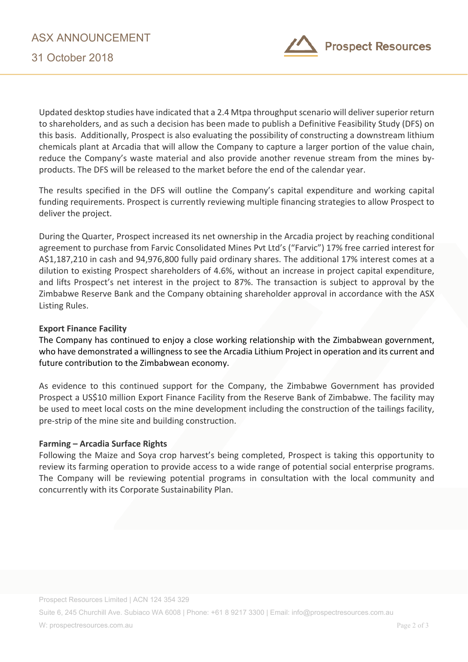

Updated desktop studies have indicated that a 2.4 Mtpa throughput scenario will deliver superior return to shareholders, and as such a decision has been made to publish a Definitive Feasibility Study (DFS) on this basis. Additionally, Prospect is also evaluating the possibility of constructing a downstream lithium chemicals plant at Arcadia that will allow the Company to capture a larger portion of the value chain, reduce the Company's waste material and also provide another revenue stream from the mines byproducts. The DFS will be released to the market before the end of the calendar year.

The results specified in the DFS will outline the Company's capital expenditure and working capital funding requirements. Prospect is currently reviewing multiple financing strategies to allow Prospect to deliver the project.

During the Quarter, Prospect increased its net ownership in the Arcadia project by reaching conditional agreement to purchase from Farvic Consolidated Mines Pvt Ltd's ("Farvic") 17% free carried interest for A\$1,187,210 in cash and 94,976,800 fully paid ordinary shares. The additional 17% interest comes at a dilution to existing Prospect shareholders of 4.6%, without an increase in project capital expenditure, and lifts Prospect's net interest in the project to 87%. The transaction is subject to approval by the Zimbabwe Reserve Bank and the Company obtaining shareholder approval in accordance with the ASX Listing Rules.

# **Export Finance Facility**

The Company has continued to enjoy a close working relationship with the Zimbabwean government, who have demonstrated a willingness to see the Arcadia Lithium Project in operation and its current and future contribution to the Zimbabwean economy.

As evidence to this continued support for the Company, the Zimbabwe Government has provided Prospect a US\$10 million Export Finance Facility from the Reserve Bank of Zimbabwe. The facility may be used to meet local costs on the mine development including the construction of the tailings facility, pre-strip of the mine site and building construction.

# **Farming – Arcadia Surface Rights**

Following the Maize and Soya crop harvest's being completed, Prospect is taking this opportunity to review its farming operation to provide access to a wide range of potential social enterprise programs. The Company will be reviewing potential programs in consultation with the local community and concurrently with its Corporate Sustainability Plan.

Suite 6, 245 Churchill Ave. Subiaco WA 6008 | Phone: +61 8 9217 3300 | Email: info@prospectresources.com.au